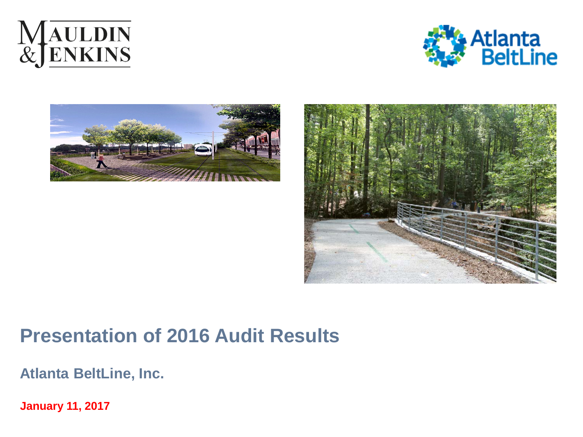







# **Presentation of 2016 Audit Results**

**Atlanta BeltLine, Inc.**

**January 11, 2017**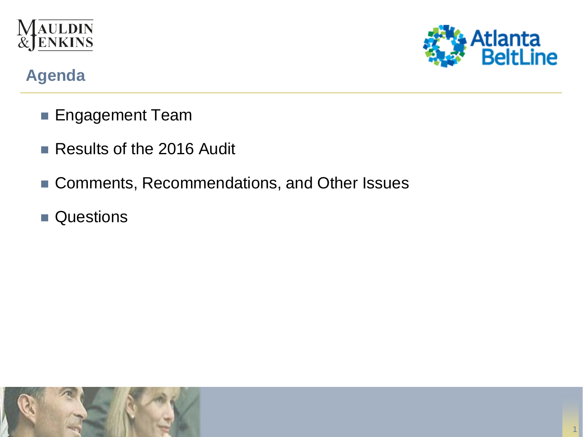



## **Agenda**

- **Engagement Team**
- Results of the 2016 Audit
- Comments, Recommendations, and Other Issues
- **Questions**

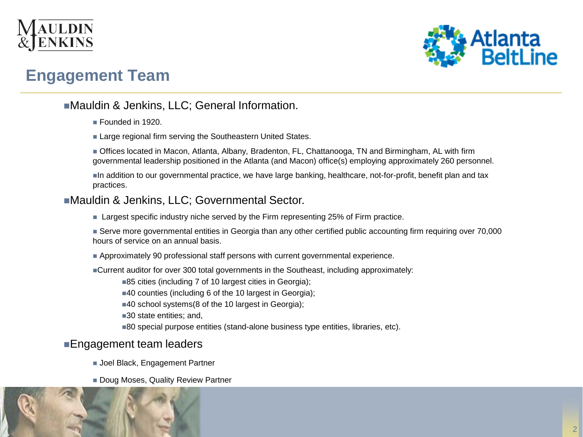



### **Engagement Team**

#### ■Mauldin & Jenkins, LLC; General Information.

- Founded in 1920.
- **Large regional firm serving the Southeastern United States.**

 Offices located in Macon, Atlanta, Albany, Bradenton, FL, Chattanooga, TN and Birmingham, AL with firm governmental leadership positioned in the Atlanta (and Macon) office(s) employing approximately 260 personnel.

In addition to our governmental practice, we have large banking, healthcare, not-for-profit, benefit plan and tax practices.

#### Mauldin & Jenkins, LLC; Governmental Sector.

**Largest specific industry niche served by the Firm representing 25% of Firm practice.** 

 Serve more governmental entities in Georgia than any other certified public accounting firm requiring over 70,000 hours of service on an annual basis.

- Approximately 90 professional staff persons with current governmental experience.
- Current auditor for over 300 total governments in the Southeast, including approximately:

■85 cities (including 7 of 10 largest cities in Georgia);

■40 counties (including 6 of the 10 largest in Georgia);

■40 school systems(8 of the 10 largest in Georgia);

■30 state entities; and,

■80 special purpose entities (stand-alone business type entities, libraries, etc).

#### **Engagement team leaders**

- **Joel Black, Engagement Partner**
- **Doug Moses, Quality Review Partner**

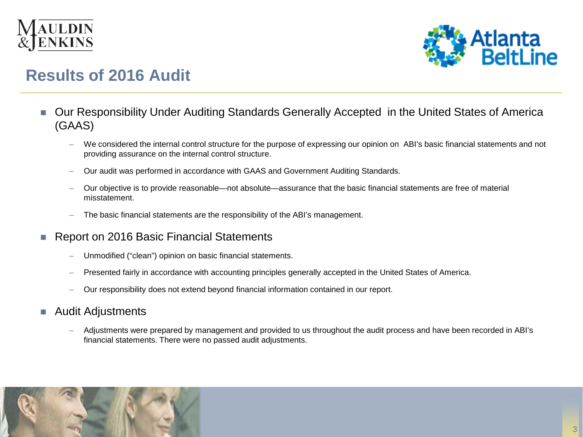



### **Results of 2016 Audit**

- Our Responsibility Under Auditing Standards Generally Accepted in the United States of America (GAAS)
	- We considered the internal control structure for the purpose of expressing our opinion on ABI's basic financial statements and not providing assurance on the internal control structure.
	- Our audit was performed in accordance with GAAS and Government Auditing Standards.
	- Our objective is to provide reasonable—not absolute—assurance that the basic financial statements are free of material misstatement.
	- The basic financial statements are the responsibility of the ABI's management.
- Report on 2016 Basic Financial Statements
	- Unmodified ("clean") opinion on basic financial statements.
	- Presented fairly in accordance with accounting principles generally accepted in the United States of America.
	- Our responsibility does not extend beyond financial information contained in our report.
- **Audit Adjustments** 
	- Adjustments were prepared by management and provided to us throughout the audit process and have been recorded in ABI's financial statements. There were no passed audit adjustments.

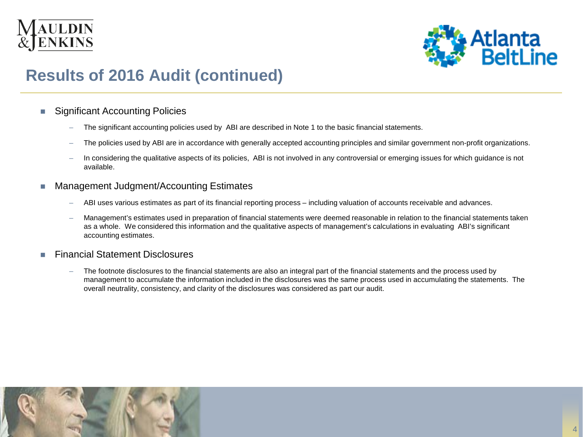



## **Results of 2016 Audit (continued)**

#### ■ Significant Accounting Policies

- The significant accounting policies used by ABI are described in Note 1 to the basic financial statements.
- The policies used by ABI are in accordance with generally accepted accounting principles and similar government non-profit organizations.
- In considering the qualitative aspects of its policies, ABI is not involved in any controversial or emerging issues for which guidance is not available.
- Management Judgment/Accounting Estimates
	- ABI uses various estimates as part of its financial reporting process including valuation of accounts receivable and advances.
	- Management's estimates used in preparation of financial statements were deemed reasonable in relation to the financial statements taken as a whole. We considered this information and the qualitative aspects of management's calculations in evaluating ABI's significant accounting estimates.
- **Financial Statement Disclosures** 
	- The footnote disclosures to the financial statements are also an integral part of the financial statements and the process used by management to accumulate the information included in the disclosures was the same process used in accumulating the statements. The overall neutrality, consistency, and clarity of the disclosures was considered as part our audit.

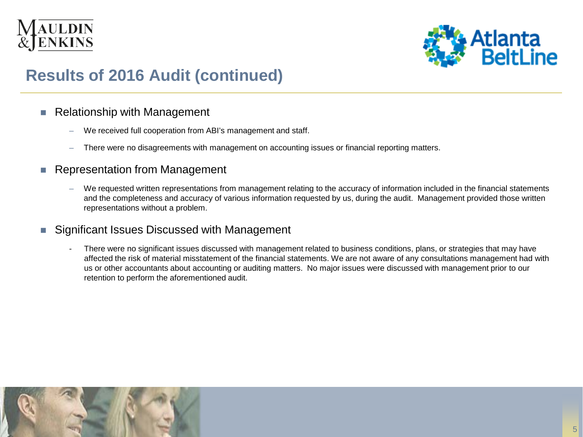



# **Results of 2016 Audit (continued)**

#### ■ Relationship with Management

- We received full cooperation from ABI's management and staff.
- There were no disagreements with management on accounting issues or financial reporting matters.
- **Representation from Management** 
	- We requested written representations from management relating to the accuracy of information included in the financial statements and the completeness and accuracy of various information requested by us, during the audit. Management provided those written representations without a problem.
- Significant Issues Discussed with Management
	- There were no significant issues discussed with management related to business conditions, plans, or strategies that may have affected the risk of material misstatement of the financial statements. We are not aware of any consultations management had with us or other accountants about accounting or auditing matters. No major issues were discussed with management prior to our retention to perform the aforementioned audit.

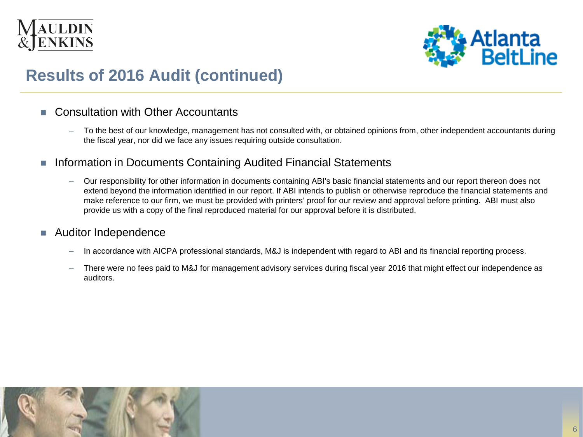



# **Results of 2016 Audit (continued)**

#### ■ Consultation with Other Accountants

- To the best of our knowledge, management has not consulted with, or obtained opinions from, other independent accountants during the fiscal year, nor did we face any issues requiring outside consultation.
- **Information in Documents Containing Audited Financial Statements** 
	- Our responsibility for other information in documents containing ABI's basic financial statements and our report thereon does not extend beyond the information identified in our report. If ABI intends to publish or otherwise reproduce the financial statements and make reference to our firm, we must be provided with printers' proof for our review and approval before printing. ABI must also provide us with a copy of the final reproduced material for our approval before it is distributed.

#### ■ Auditor Independence

- In accordance with AICPA professional standards, M&J is independent with regard to ABI and its financial reporting process.
- There were no fees paid to M&J for management advisory services during fiscal year 2016 that might effect our independence as auditors.

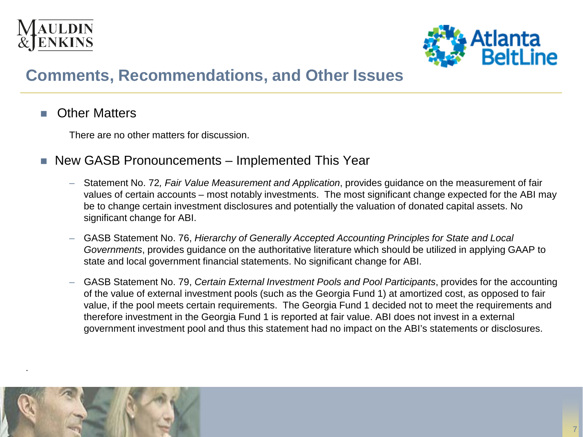



### **Comments, Recommendations, and Other Issues**

#### **C** Other Matters

There are no other matters for discussion.

- New GASB Pronouncements Implemented This Year
	- Statement No. 72*, Fair Value Measurement and Application*, provides guidance on the measurement of fair values of certain accounts – most notably investments. The most significant change expected for the ABI may be to change certain investment disclosures and potentially the valuation of donated capital assets. No significant change for ABI.
	- GASB Statement No. 76, *Hierarchy of Generally Accepted Accounting Principles for State and Local Governments*, provides guidance on the authoritative literature which should be utilized in applying GAAP to state and local government financial statements. No significant change for ABI.
	- GASB Statement No. 79, *Certain External Investment Pools and Pool Participants*, provides for the accounting of the value of external investment pools (such as the Georgia Fund 1) at amortized cost, as opposed to fair value, if the pool meets certain requirements. The Georgia Fund 1 decided not to meet the requirements and therefore investment in the Georgia Fund 1 is reported at fair value. ABI does not invest in a external government investment pool and thus this statement had no impact on the ABI's statements or disclosures.



.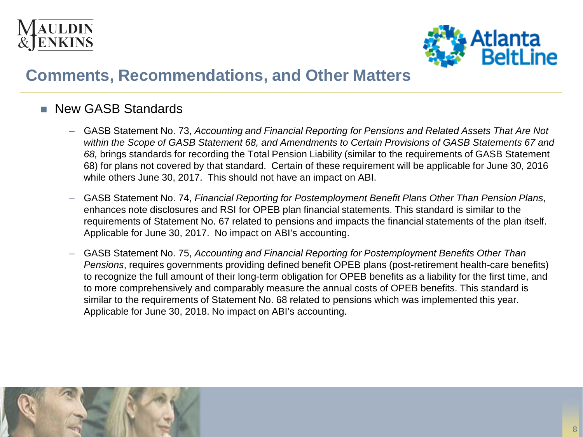



#### **New GASB Standards**

- GASB Statement No. 73, *Accounting and Financial Reporting for Pensions and Related Assets That Are Not within the Scope of GASB Statement 68, and Amendments to Certain Provisions of GASB Statements 67 and 68,* brings standards for recording the Total Pension Liability (similar to the requirements of GASB Statement 68) for plans not covered by that standard. Certain of these requirement will be applicable for June 30, 2016 while others June 30, 2017. This should not have an impact on ABI.
- GASB Statement No. 74, *Financial Reporting for Postemployment Benefit Plans Other Than Pension Plans*, enhances note disclosures and RSI for OPEB plan financial statements. This standard is similar to the requirements of Statement No. 67 related to pensions and impacts the financial statements of the plan itself. Applicable for June 30, 2017. No impact on ABI's accounting.
- GASB Statement No. 75, *Accounting and Financial Reporting for Postemployment Benefits Other Than Pensions*, requires governments providing defined benefit OPEB plans (post-retirement health-care benefits) to recognize the full amount of their long-term obligation for OPEB benefits as a liability for the first time, and to more comprehensively and comparably measure the annual costs of OPEB benefits. This standard is similar to the requirements of Statement No. 68 related to pensions which was implemented this year. Applicable for June 30, 2018. No impact on ABI's accounting.

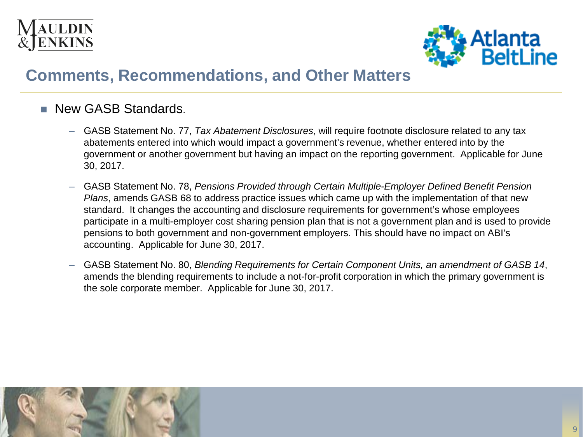



- **New GASB Standards.** 
	- GASB Statement No. 77, *Tax Abatement Disclosures*, will require footnote disclosure related to any tax abatements entered into which would impact a government's revenue, whether entered into by the government or another government but having an impact on the reporting government. Applicable for June 30, 2017.
	- GASB Statement No. 78, *Pensions Provided through Certain Multiple-Employer Defined Benefit Pension Plans*, amends GASB 68 to address practice issues which came up with the implementation of that new standard. It changes the accounting and disclosure requirements for government's whose employees participate in a multi-employer cost sharing pension plan that is not a government plan and is used to provide pensions to both government and non-government employers. This should have no impact on ABI's accounting. Applicable for June 30, 2017.
	- GASB Statement No. 80, *Blending Requirements for Certain Component Units, an amendment of GASB 14*, amends the blending requirements to include a not-for-profit corporation in which the primary government is the sole corporate member. Applicable for June 30, 2017.

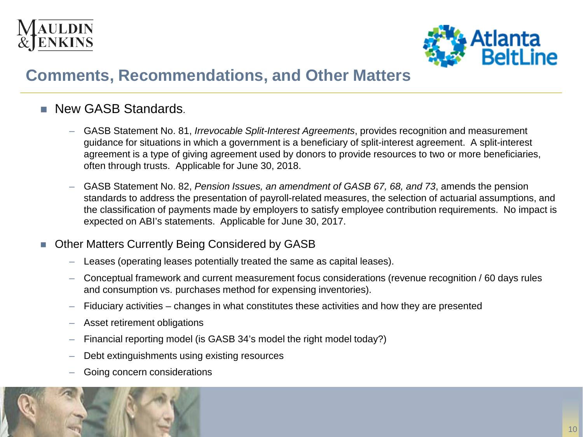



- **New GASB Standards.** 
	- GASB Statement No. 81, *Irrevocable Split-Interest Agreements*, provides recognition and measurement guidance for situations in which a government is a beneficiary of split-interest agreement. A split-interest agreement is a type of giving agreement used by donors to provide resources to two or more beneficiaries, often through trusts. Applicable for June 30, 2018.
	- GASB Statement No. 82, *Pension Issues, an amendment of GASB 67, 68, and 73*, amends the pension standards to address the presentation of payroll-related measures, the selection of actuarial assumptions, and the classification of payments made by employers to satisfy employee contribution requirements. No impact is expected on ABI's statements. Applicable for June 30, 2017.

#### ■ Other Matters Currently Being Considered by GASB

- Leases (operating leases potentially treated the same as capital leases).
- Conceptual framework and current measurement focus considerations (revenue recognition / 60 days rules and consumption vs. purchases method for expensing inventories).
- Fiduciary activities changes in what constitutes these activities and how they are presented
- Asset retirement obligations
- Financial reporting model (is GASB 34's model the right model today?)
- Debt extinguishments using existing resources
- Going concern considerations

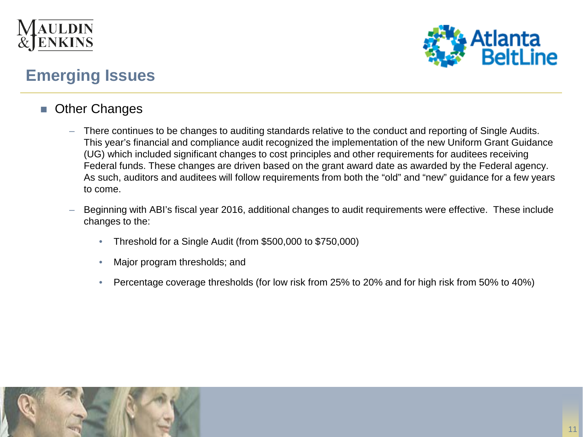



## **Emerging Issues**

- **Other Changes** 
	- There continues to be changes to auditing standards relative to the conduct and reporting of Single Audits. This year's financial and compliance audit recognized the implementation of the new Uniform Grant Guidance (UG) which included significant changes to cost principles and other requirements for auditees receiving Federal funds. These changes are driven based on the grant award date as awarded by the Federal agency. As such, auditors and auditees will follow requirements from both the "old" and "new" guidance for a few years to come.
	- Beginning with ABI's fiscal year 2016, additional changes to audit requirements were effective. These include changes to the:
		- Threshold for a Single Audit (from \$500,000 to \$750,000)
		- Major program thresholds; and
		- Percentage coverage thresholds (for low risk from 25% to 20% and for high risk from 50% to 40%)

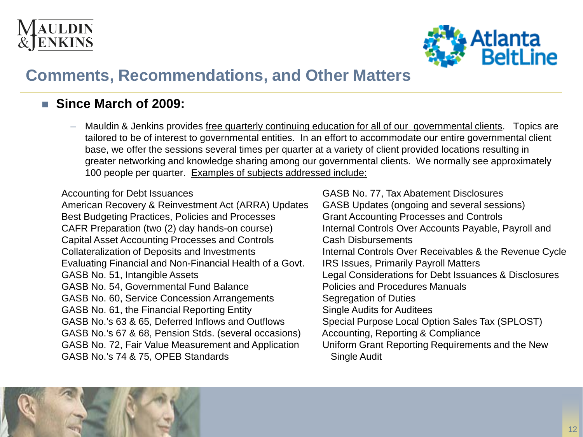



#### **Since March of 2009:**

– Mauldin & Jenkins provides free quarterly continuing education for all of our governmental clients. Topics are tailored to be of interest to governmental entities. In an effort to accommodate our entire governmental client base, we offer the sessions several times per quarter at a variety of client provided locations resulting in greater networking and knowledge sharing among our governmental clients. We normally see approximately 100 people per quarter. Examples of subjects addressed include:

#### Accounting for Debt Issuances

American Recovery & Reinvestment Act (ARRA) Updates Best Budgeting Practices, Policies and Processes CAFR Preparation (two (2) day hands-on course) Capital Asset Accounting Processes and Controls Collateralization of Deposits and Investments Evaluating Financial and Non-Financial Health of a Govt. GASB No. 51, Intangible Assets GASB No. 54, Governmental Fund Balance GASB No. 60, Service Concession Arrangements GASB No. 61, the Financial Reporting Entity GASB No.'s 63 & 65, Deferred Inflows and Outflows GASB No.'s 67 & 68, Pension Stds. (several occasions) GASB No. 72, Fair Value Measurement and Application GASB No.'s 74 & 75, OPEB Standards

GASB No. 77, Tax Abatement Disclosures GASB Updates (ongoing and several sessions) Grant Accounting Processes and Controls Internal Controls Over Accounts Payable, Payroll and Cash Disbursements Internal Controls Over Receivables & the Revenue Cycle IRS Issues, Primarily Payroll Matters Legal Considerations for Debt Issuances & Disclosures Policies and Procedures Manuals Segregation of Duties Single Audits for Auditees Special Purpose Local Option Sales Tax (SPLOST) Accounting, Reporting & Compliance Uniform Grant Reporting Requirements and the New Single Audit